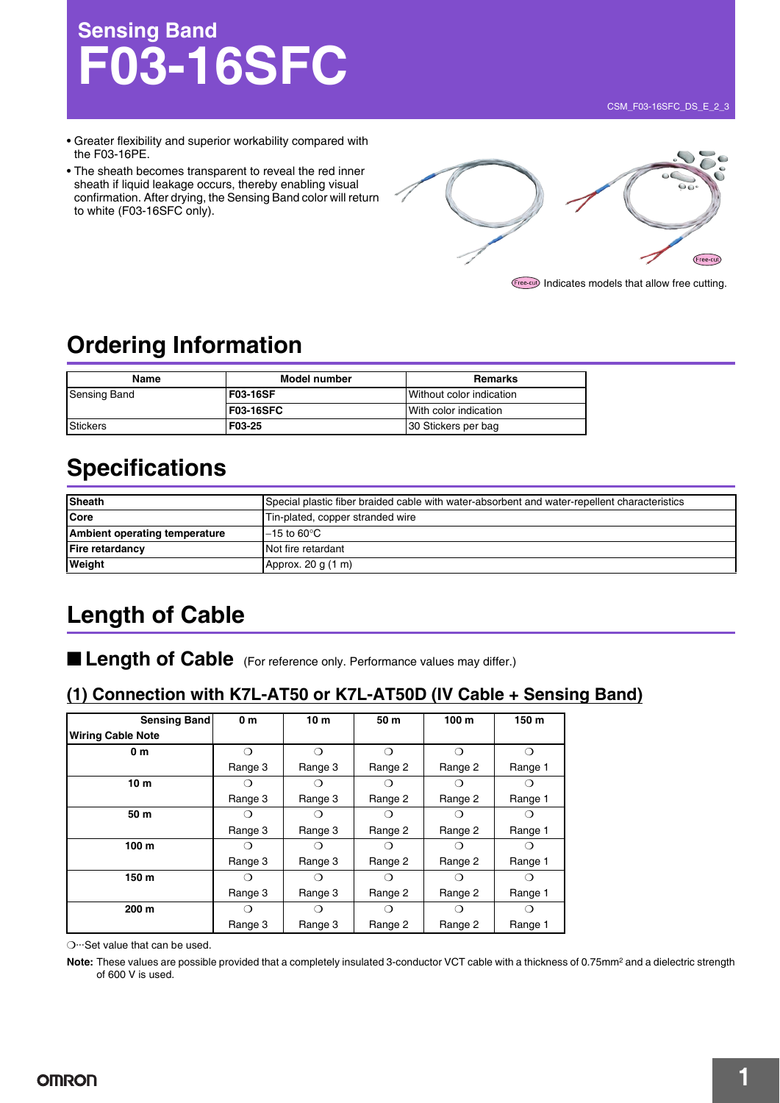# **Sensing Band F03-16SFC**

- Greater flexibility and superior workability compared with the F03-16PE.
- The sheath becomes transparent to reveal the red inner sheath if liquid leakage occurs, thereby enabling visual confirmation. After drying, the Sensing Band color will return to white (F03-16SFC only).



**Free-cut)** Indicates models that allow free cutting.

# **Ordering Information**

| Name                | Model number    | <b>Remarks</b>           |  |  |
|---------------------|-----------------|--------------------------|--|--|
| <b>Sensing Band</b> | <b>F03-16SF</b> | Without color indication |  |  |
|                     | F03-16SFC       | With color indication    |  |  |
| <b>Stickers</b>     | F03-25          | 30 Stickers per bag      |  |  |

### **Specifications**

| <b>Sheath</b>                 | Special plastic fiber braided cable with water-absorbent and water-repellent characteristics |  |  |  |
|-------------------------------|----------------------------------------------------------------------------------------------|--|--|--|
| <b>Core</b>                   | Tin-plated, copper stranded wire                                                             |  |  |  |
| Ambient operating temperature | $-15$ to 60°C                                                                                |  |  |  |
| <b>Fire retardancy</b>        | Not fire retardant                                                                           |  |  |  |
| Weight                        | Approx. 20 g (1 m)                                                                           |  |  |  |

### **Length of Cable**

■ **Length of Cable** (For reference only. Performance values may differ.)

### **(1) Connection with K7L-AT50 or K7L-AT50D (IV Cable + Sensing Band)**

| Sensing Band             | 0 <sub>m</sub> | 10 <sub>m</sub> | 50 m             | 100 <sub>m</sub> | 150 m            |
|--------------------------|----------------|-----------------|------------------|------------------|------------------|
| <b>Wiring Cable Note</b> |                |                 |                  |                  |                  |
| 0 <sub>m</sub>           | ∩              | ⌒               | ∩                |                  | ∩                |
|                          | Range 3        | Range 3         | Range 2          | Range 2          | Range 1          |
| 10 <sub>m</sub>          |                |                 | ( )              |                  |                  |
|                          | Range 3        | Range 3         | Range 2          | Range 2          | Range 1          |
| 50 m                     |                | ⊖ )             | ⊖                |                  | $\left( \right)$ |
|                          | Range 3        | Range 3         | Range 2          | Range 2          | Range 1          |
| 100 <sub>m</sub>         |                |                 |                  |                  |                  |
|                          | Range 3        | Range 3         | Range 2          | Range 2          | Range 1          |
| 150 m                    | ( )            | ()              | ( )              |                  | $\left( \right)$ |
|                          | Range 3        | Range 3         | Range 2          | Range 2          | Range 1          |
| 200 <sub>m</sub>         |                |                 | $\left( \right)$ |                  |                  |
|                          | Range 3        | Range 3         | Range 2          | Range 2          | Range 1          |

❍···Set value that can be used.

Note: These values are possible provided that a completely insulated 3-conductor VCT cable with a thickness of 0.75mm<sup>2</sup> and a dielectric strength of 600 V is used.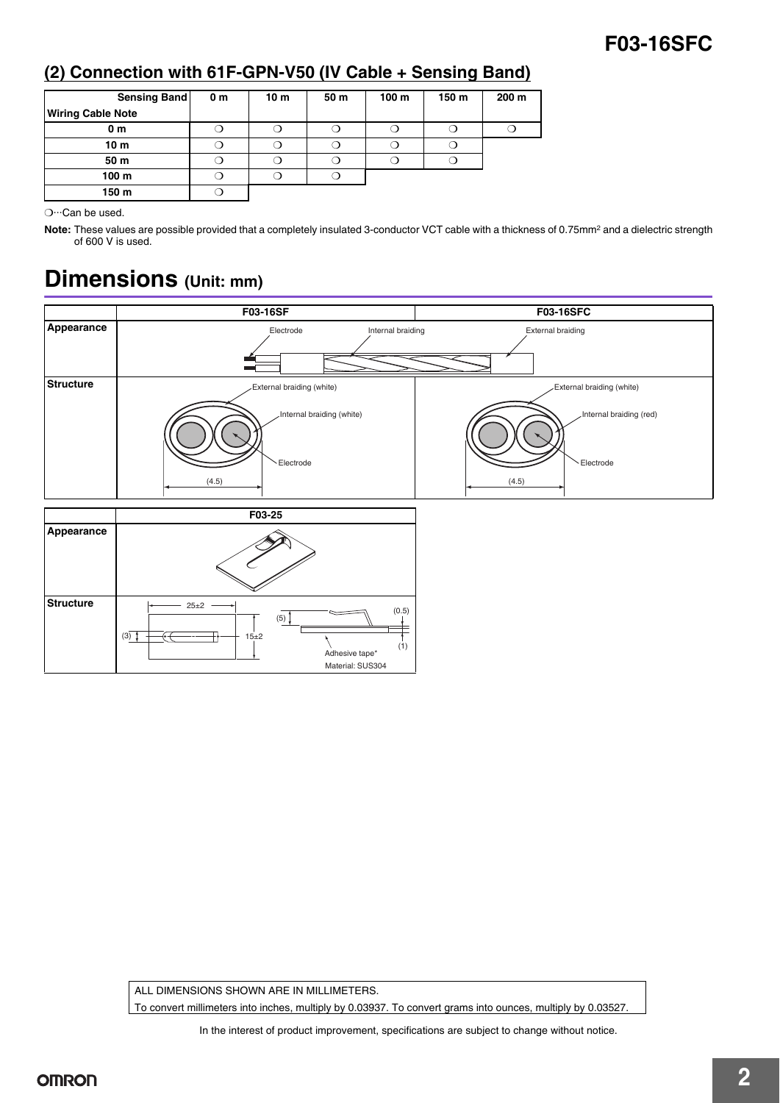### **F03-16SFC**

### **(2) Connection with 61F-GPN-V50 (IV Cable + Sensing Band)**

| Sensing Band             | 0 <sub>m</sub> | 10 <sub>m</sub> | 50 <sub>m</sub> | 100 <sub>m</sub> | 150 m | 200 <sub>m</sub> |
|--------------------------|----------------|-----------------|-----------------|------------------|-------|------------------|
| <b>Wiring Cable Note</b> |                |                 |                 |                  |       |                  |
| 0 <sub>m</sub>           |                |                 |                 |                  |       |                  |
| 10 <sub>m</sub>          |                |                 |                 |                  |       |                  |
| 50 m                     | 0              |                 |                 |                  |       |                  |
| 100 <sub>m</sub>         |                |                 |                 |                  |       |                  |
| 150 m                    |                |                 |                 |                  |       |                  |

❍···Can be used.

Note: These values are possible provided that a completely insulated 3-conductor VCT cable with a thickness of 0.75mm<sup>2</sup> and a dielectric strength of 600 V is used.

# **Dimensions (Unit: mm)**



ALL DIMENSIONS SHOWN ARE IN MILLIMETERS. To convert millimeters into inches, multiply by 0.03937. To convert grams into ounces, multiply by 0.03527.

In the interest of product improvement, specifications are subject to change without notice.